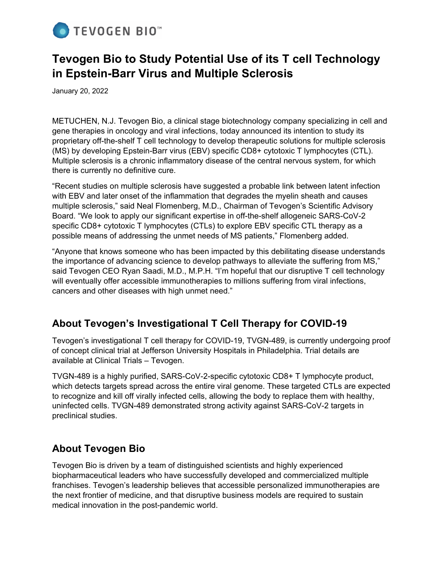

# **Tevogen Bio to Study Potential Use of its T cell Technology in Epstein-Barr Virus and Multiple Sclerosis**

January 20, 2022

METUCHEN, N.J. Tevogen Bio, a clinical stage biotechnology company specializing in cell and gene therapies in oncology and viral infections, today announced its intention to study its proprietary off-the-shelf T cell technology to develop therapeutic solutions for multiple sclerosis (MS) by developing Epstein-Barr virus (EBV) specific CD8+ cytotoxic T lymphocytes (CTL). Multiple sclerosis is a chronic inflammatory disease of the central nervous system, for which there is currently no definitive cure.

"Recent studies on multiple sclerosis have suggested a probable link between latent infection with EBV and later onset of the inflammation that degrades the myelin sheath and causes multiple sclerosis," said Neal Flomenberg, M.D., Chairman of Tevogen's Scientific Advisory Board. "We look to apply our significant expertise in off-the-shelf allogeneic SARS-CoV-2 specific CD8+ cytotoxic T lymphocytes (CTLs) to explore EBV specific CTL therapy as a possible means of addressing the unmet needs of MS patients," Flomenberg added.

"Anyone that knows someone who has been impacted by this debilitating disease understands the importance of advancing science to develop pathways to alleviate the suffering from MS," said Tevogen CEO Ryan Saadi, M.D., M.P.H. "I'm hopeful that our disruptive T cell technology will eventually offer accessible immunotherapies to millions suffering from viral infections, cancers and other diseases with high unmet need."

### **About Tevogen's Investigational T Cell Therapy for COVID-19**

Tevogen's investigational T cell therapy for COVID-19, TVGN-489, is currently undergoing proof of concept clinical trial at Jefferson University Hospitals in Philadelphia. Trial details are available at Clinical Trials – Tevogen.

TVGN-489 is a highly purified, SARS-CoV-2-specific cytotoxic CD8+ T lymphocyte product, which detects targets spread across the entire viral genome. These targeted CTLs are expected to recognize and kill off virally infected cells, allowing the body to replace them with healthy, uninfected cells. TVGN-489 demonstrated strong activity against SARS-CoV-2 targets in preclinical studies.

### **About Tevogen Bio**

Tevogen Bio is driven by a team of distinguished scientists and highly experienced biopharmaceutical leaders who have successfully developed and commercialized multiple franchises. Tevogen's leadership believes that accessible personalized immunotherapies are the next frontier of medicine, and that disruptive business models are required to sustain medical innovation in the post-pandemic world.